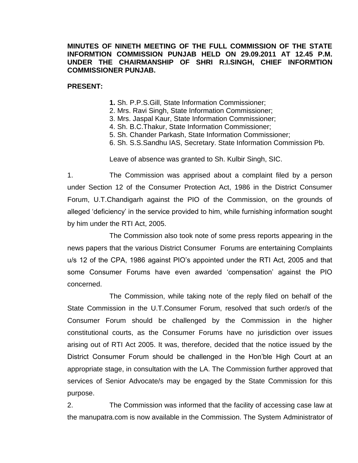## **MINUTES OF NINETH MEETING OF THE FULL COMMISSION OF THE STATE INFORMTION COMMISSION PUNJAB HELD ON 29.09.2011 AT 12.45 P.M. UNDER THE CHAIRMANSHIP OF SHRI R.I.SINGH, CHIEF INFORMTION COMMISSIONER PUNJAB.**

## **PRESENT:**

- **1.** Sh. P.P.S.Gill, State Information Commissioner;
- 2. Mrs. Ravi Singh, State Information Commissioner;
- 3. Mrs. Jaspal Kaur, State Information Commissioner;
- 4. Sh. B.C.Thakur, State Information Commissioner;
- 5. Sh. Chander Parkash, State Information Commissioner;
- 6. Sh. S.S.Sandhu IAS, Secretary. State Information Commission Pb.

Leave of absence was granted to Sh. Kulbir Singh, SIC.

1. The Commission was apprised about a complaint filed by a person under Section 12 of the Consumer Protection Act, 1986 in the District Consumer Forum, U.T.Chandigarh against the PIO of the Commission, on the grounds of alleged 'deficiency' in the service provided to him, while furnishing information sought by him under the RTI Act, 2005.

The Commission also took note of some press reports appearing in the news papers that the various District Consumer Forums are entertaining Complaints u/s 12 of the CPA, 1986 against PIO's appointed under the RTI Act, 2005 and that some Consumer Forums have even awarded 'compensation' against the PIO concerned.

The Commission, while taking note of the reply filed on behalf of the State Commission in the U.T.Consumer Forum, resolved that such order/s of the Consumer Forum should be challenged by the Commission in the higher constitutional courts, as the Consumer Forums have no jurisdiction over issues arising out of RTI Act 2005. It was, therefore, decided that the notice issued by the District Consumer Forum should be challenged in the Hon'ble High Court at an appropriate stage, in consultation with the LA. The Commission further approved that services of Senior Advocate/s may be engaged by the State Commission for this purpose.

2. The Commission was informed that the facility of accessing case law at the manupatra.com is now available in the Commission. The System Administrator of